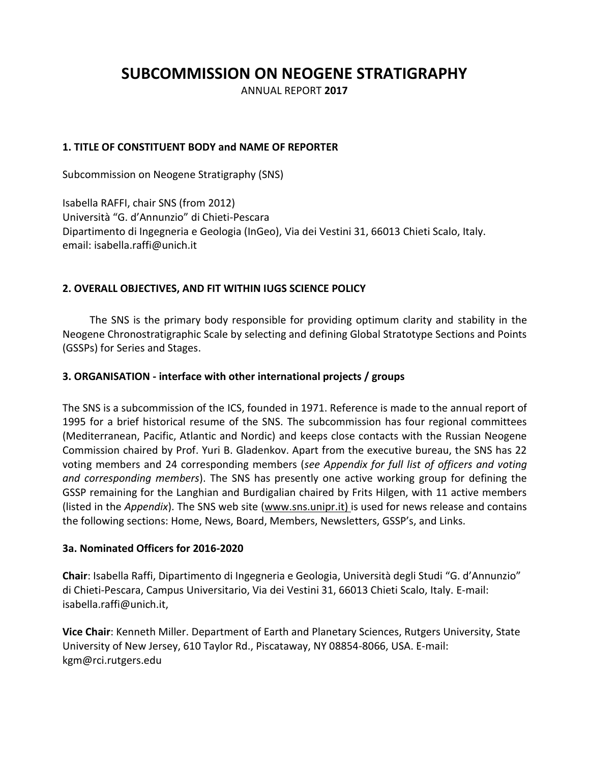# **SUBCOMMISSION ON NEOGENE STRATIGRAPHY**

ANNUAL REPORT **2017**

## **1. TITLE OF CONSTITUENT BODY and NAME OF REPORTER**

Subcommission on Neogene Stratigraphy (SNS)

Isabella RAFFI, chair SNS (from 2012) Università "G. d'Annunzio" di Chieti-Pescara Dipartimento di Ingegneria e Geologia (InGeo), Via dei Vestini 31, 66013 Chieti Scalo, Italy. email: isabella.raffi@unich.it

#### **2. OVERALL OBJECTIVES, AND FIT WITHIN IUGS SCIENCE POLICY**

The SNS is the primary body responsible for providing optimum clarity and stability in the Neogene Chronostratigraphic Scale by selecting and defining Global Stratotype Sections and Points (GSSPs) for Series and Stages.

#### **3. ORGANISATION - interface with other international projects / groups**

The SNS is a subcommission of the ICS, founded in 1971. Reference is made to the annual report of 1995 for a brief historical resume of the SNS. The subcommission has four regional committees (Mediterranean, Pacific, Atlantic and Nordic) and keeps close contacts with the Russian Neogene Commission chaired by Prof. Yuri B. Gladenkov. Apart from the executive bureau, the SNS has 22 voting members and 24 corresponding members (*see Appendix for full list of officers and voting and corresponding members*). The SNS has presently one active working group for defining the GSSP remaining for the Langhian and Burdigalian chaired by Frits Hilgen, with 11 active members (listed in the *Appendix*). The SNS web site [\(www.sns.unipr.it\)](http://www.sns.unipr.it/) is used for news release and contains the following sections: Home, News, Board, Members, Newsletters, GSSP's, and Links.

#### **3a. Nominated Officers for 2016-2020**

**Chair**: Isabella Raffi, [Dipartimento di Ingegneria e Geologia](http://www.unich.it/unichieti/portletlocator/ContattoOrganizzazione_details?path=/BEA%20Repository/132035), Università degli Studi "G. d'Annunzio" di Chieti-Pescara, Campus Universitario, Via dei Vestini 31, 66013 Chieti Scalo, Italy. E-mail: isabella[.raffi@unich.it,](mailto:raffi@unich.it)

**Vice Chair**: Kenneth Miller[. Department of Earth and Planetary Sciences,](http://geology.rutgers.edu/) Rutgers University, State University of New Jersey, 610 Taylor Rd., Piscataway, NY 08854-8066, USA. E-mail: kgm@rci.rutgers.edu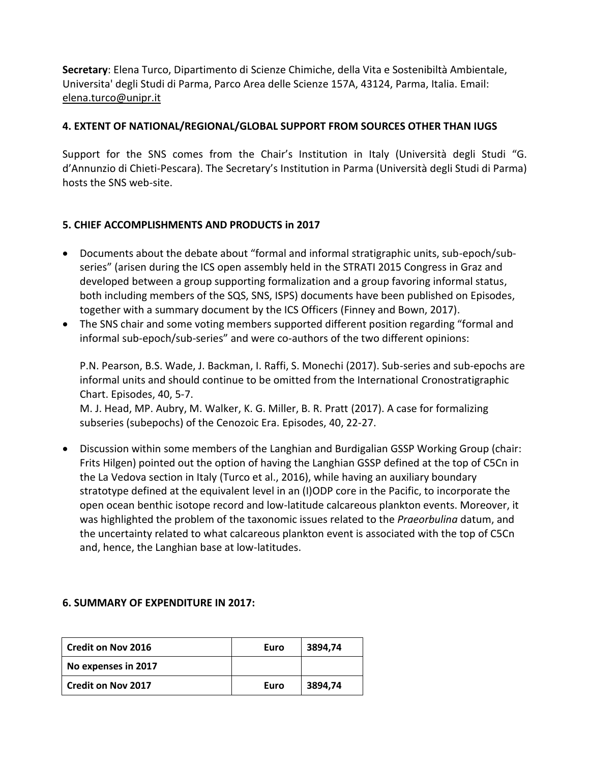**Secretary**: Elena Turco, Dipartimento di Scienze Chimiche, della Vita e Sostenibiltà Ambientale, Universita' degli Studi di Parma, Parco Area delle Scienze 157A, 43124, Parma, Italia. Email: [elena.turco@unipr.it](mailto:elena.turco@unipr.it)

# **4. EXTENT OF NATIONAL/REGIONAL/GLOBAL SUPPORT FROM SOURCES OTHER THAN IUGS**

Support for the SNS comes from the Chair's Institution in Italy (Università degli Studi "G. d'Annunzio di Chieti-Pescara). The Secretary's Institution in Parma (Università degli Studi di Parma) hosts the SNS web-site.

# **5. CHIEF ACCOMPLISHMENTS AND PRODUCTS in 2017**

- Documents about the debate about "formal and informal stratigraphic units, sub-epoch/subseries" (arisen during the ICS open assembly held in the STRATI 2015 Congress in Graz and developed between a group supporting formalization and a group favoring informal status, both including members of the SQS, SNS, ISPS) documents have been published on Episodes, together with a summary document by the ICS Officers (Finney and Bown, 2017).
- The SNS chair and some voting members supported different position regarding "formal and informal sub-epoch/sub-series" and were co-authors of the two different opinions:

P.N. Pearson, B.S. Wade, J. Backman, I. Raffi, S. Monechi (2017). Sub-series and sub-epochs are informal units and should continue to be omitted from the International Cronostratigraphic Chart. Episodes, 40, 5-7.

M. J. Head, MP. Aubry, M. Walker, K. G. Miller, B. R. Pratt (2017). A case for formalizing subseries (subepochs) of the Cenozoic Era. Episodes, 40, 22-27.

 Discussion within some members of the Langhian and Burdigalian GSSP Working Group (chair: Frits Hilgen) pointed out the option of having the Langhian GSSP defined at the top of C5Cn in the La Vedova section in Italy (Turco et al., 2016), while having an auxiliary boundary stratotype defined at the equivalent level in an (I)ODP core in the Pacific, to incorporate the open ocean benthic isotope record and low-latitude calcareous plankton events. Moreover, it was highlighted the problem of the taxonomic issues related to the *Praeorbulina* datum, and the uncertainty related to what calcareous plankton event is associated with the top of C5Cn and, hence, the Langhian base at low-latitudes.

#### **6. SUMMARY OF EXPENDITURE IN 2017:**

| <b>Credit on Nov 2016</b> | Euro | 3894,74 |
|---------------------------|------|---------|
| No expenses in 2017       |      |         |
| <b>Credit on Nov 2017</b> | Euro | 3894,74 |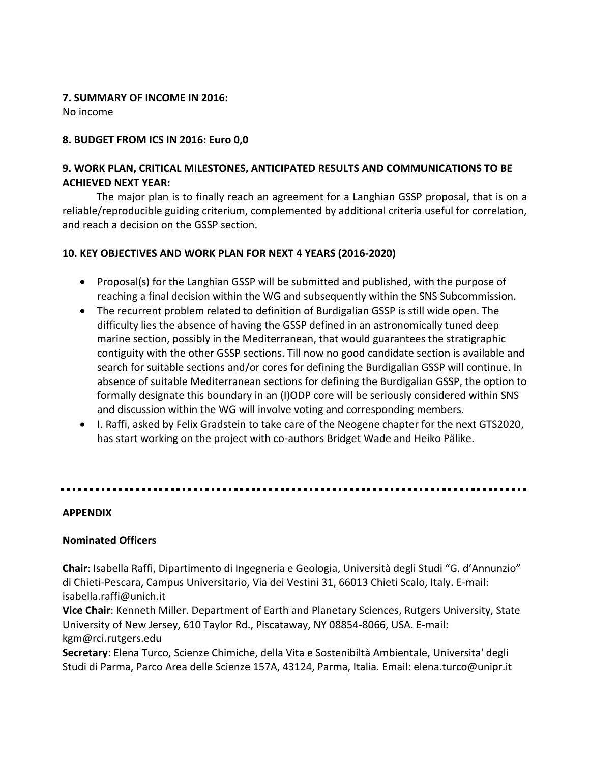## **7. SUMMARY OF INCOME IN 2016:**

No income

## **8. BUDGET FROM ICS IN 2016: Euro 0,0**

# **9. WORK PLAN, CRITICAL MILESTONES, ANTICIPATED RESULTS AND COMMUNICATIONS TO BE ACHIEVED NEXT YEAR:**

The major plan is to finally reach an agreement for a Langhian GSSP proposal, that is on a reliable/reproducible guiding criterium, complemented by additional criteria useful for correlation, and reach a decision on the GSSP section.

## **10. KEY OBJECTIVES AND WORK PLAN FOR NEXT 4 YEARS (2016-2020)**

- Proposal(s) for the Langhian GSSP will be submitted and published, with the purpose of reaching a final decision within the WG and subsequently within the SNS Subcommission.
- The recurrent problem related to definition of Burdigalian GSSP is still wide open. The difficulty lies the absence of having the GSSP defined in an astronomically tuned deep marine section, possibly in the Mediterranean, that would guarantees the stratigraphic contiguity with the other GSSP sections. Till now no good candidate section is available and search for suitable sections and/or cores for defining the Burdigalian GSSP will continue. In absence of suitable Mediterranean sections for defining the Burdigalian GSSP, the option to formally designate this boundary in an (I)ODP core will be seriously considered within SNS and discussion within the WG will involve voting and corresponding members.
- I. Raffi, asked by Felix Gradstein to take care of the Neogene chapter for the next GTS2020, has start working on the project with co-authors Bridget Wade and Heiko Pälike.

## 

#### **APPENDIX**

## **Nominated Officers**

**Chair**: Isabella Raffi, [Dipartimento di Ingegneria e Geologia](http://www.unich.it/unichieti/portletlocator/ContattoOrganizzazione_details?path=/BEA%20Repository/132035), Università degli Studi "G. d'Annunzio" di Chieti-Pescara, Campus Universitario, Via dei Vestini 31, 66013 Chieti Scalo, Italy. E-mail: isabella[.raffi@unich.it](mailto:raffi@unich.it)

**Vice Chair**: Kenneth Miller[. Department of Earth and Planetary Sciences,](http://geology.rutgers.edu/) Rutgers University, State University of New Jersey, 610 Taylor Rd., Piscataway, NY 08854-8066, USA. E-mail: kgm@rci.rutgers.edu

**Secretary**: Elena Turco, Scienze Chimiche, della Vita e Sostenibiltà Ambientale, Universita' degli Studi di Parma, Parco Area delle Scienze 157A, 43124, Parma, Italia. Email: elena.turco@unipr.it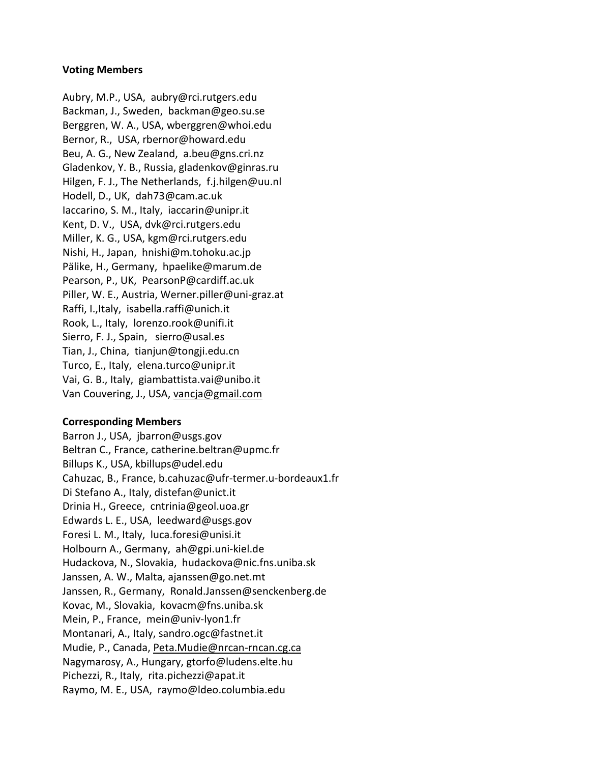#### **Voting Members**

Aubry, M.P., USA, [aubry@rci.rutgers.edu](mailto:aubry@rci.rutgers.edu) Backman, J., Sweden, [backman@geo.su.se](mailto:backman@geo.su.se) Berggren, W. A., USA, [wberggren@whoi.edu](mailto:wberggren@whoi.edu) Bernor, R., USA, [rbernor@howard.edu](mailto:rbernor@howard.edu) Beu, A. G., New Zealand, [a.beu@gns.cri.nz](mailto:a.beu@gns.cri.nz) Gladenkov, Y. B., Russia, [gladenkov@ginras.ru](mailto:gladenkov@ginras.ru) Hilgen, F. J., The Netherlands, [f.j.hilgen@uu.nl](mailto:f.j.hilgen@uu.nl) Hodell, D., UK, [dah73@cam.ac.uk](mailto:dah73@cam.ac.uk) Iaccarino, S. M., Italy, [iaccarin@unipr.it](mailto:iaccarin@unipr.it) Kent, D. V., USA, [dvk@rci.rutgers.edu](mailto:dvk@rci.rutgers.edu) Miller, K. G., USA, [kgm@rci.rutgers.edu](mailto:kgm@rci.rutgers.edu) Nishi, H., Japan, [hnishi@m.tohoku.ac.jp](mailto:hnishi@m.tohoku.ac.jp) Pälike, H., Germany, [hpaelike@marum.de](mailto:hpaelike@marum.de) Pearson, P., UK, [PearsonP@cardiff.ac.uk](mailto:PearsonP@cardiff.ac.uk) Piller, W. E., Austria, [Werner.piller@uni-graz.at](mailto:Werner.piller@uni-graz.at) Raffi, I.,Italy, isabella.raffi@unich.it Rook, L., Italy, [lorenzo.rook@unifi.it](mailto:lorenzo.rook@unifi.it) Sierro, F. J., Spain, [sierro@usal.es](mailto:sierro@usal.es) Tian, J., China, [tianjun@tongji.edu.cn](mailto:tianjun@tongji.edu.cn) Turco, E., Italy, [elena.turco@unipr.it](mailto:elena.turco@unipr.it) Vai, G. B., Italy, [giambattista.vai@unibo.it](mailto:giambattista.vai@unibo.it) Van Couvering, J., USA, [vancja@gmail.com](mailto:vancja@gmail.com)

#### **Corresponding Members**

Barron J., USA, [jbarron@usgs.gov](mailto:jbarron@usgs.gov) Beltran C., France[, catherine.beltran@upmc.fr](mailto:catherine.beltran@upmc.fr) Billups K., USA, [kbillups@udel.edu](mailto:kbillups@udel.edu) Cahuzac, B., France, [b.cahuzac@ufr-termer.u-bordeaux1.fr](mailto:b.cahuzac@ufr-termer.u-bordeaux1.fr) Di Stefano A., Italy, [distefan@unict.it](mailto:distefan@unict.it) Drinia H., Greece, [cntrinia@geol.uoa.gr](mailto:cntrinia@geol.uoa.gr) Edwards L. E., USA, [leedward@usgs.gov](mailto:leedward@usgs.gov) Foresi L. M., Italy, [luca.foresi@unisi.it](mailto:luca.foresi@unisi.it) Holbourn A., Germany, [ah@gpi.uni-kiel.de](mailto:ah@gpi.uni-kiel.de)  Hudackova, N., Slovakia, [hudackova@nic.fns.uniba.sk](mailto:hudackova@nic.fns.uniba.sk) Janssen, A. W., Malta, [ajanssen@go.net.mt](mailto:ajanssen@go.net.mt) Janssen, R., Germany, [Ronald.Janssen@senckenberg.de](mailto:Ronald.Janssen@senckenberg.de) Kovac, M., Slovakia, [kovacm@fns.uniba.sk](mailto:kovacm@fns.uniba.sk) Mein, P., France, [mein@univ-lyon1.fr](mailto:mein@univ-lyon1.fr) Montanari, A., Italy, [sandro.ogc@fastnet.it](mailto:sandro.ogc@fastnet.it) Mudie, P., Canada, [Peta.Mudie@nrcan-rncan.cg.ca](mailto:Peta.Mudie@nrcan-rncan.cg.ca) Nagymarosy, A., Hungary, [gtorfo@ludens.elte.hu](mailto:gtorfo@ludens.elte.hu) Pichezzi, R., Italy, rita.pichezzi@apat.it Raymo, M. E., USA, [raymo@ldeo.columbia.edu](mailto:raymo@ldeo.columbia.edu)